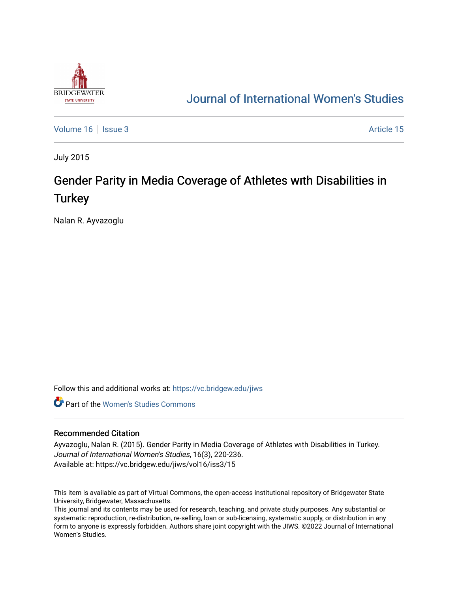

# [Journal of International Women's Studies](https://vc.bridgew.edu/jiws)

[Volume 16](https://vc.bridgew.edu/jiws/vol16) September 2014 15 Article 15

July 2015

# Gender Parity in Media Coverage of Athletes with Disabilities in **Turkey**

Nalan R. Ayvazoglu

Follow this and additional works at: [https://vc.bridgew.edu/jiws](https://vc.bridgew.edu/jiws?utm_source=vc.bridgew.edu%2Fjiws%2Fvol16%2Fiss3%2F15&utm_medium=PDF&utm_campaign=PDFCoverPages)

**C** Part of the Women's Studies Commons

#### Recommended Citation

Ayvazoglu, Nalan R. (2015). Gender Parity in Media Coverage of Athletes wıth Disabilities in Turkey. Journal of International Women's Studies, 16(3), 220-236. Available at: https://vc.bridgew.edu/jiws/vol16/iss3/15

This item is available as part of Virtual Commons, the open-access institutional repository of Bridgewater State University, Bridgewater, Massachusetts.

This journal and its contents may be used for research, teaching, and private study purposes. Any substantial or systematic reproduction, re-distribution, re-selling, loan or sub-licensing, systematic supply, or distribution in any form to anyone is expressly forbidden. Authors share joint copyright with the JIWS. ©2022 Journal of International Women's Studies.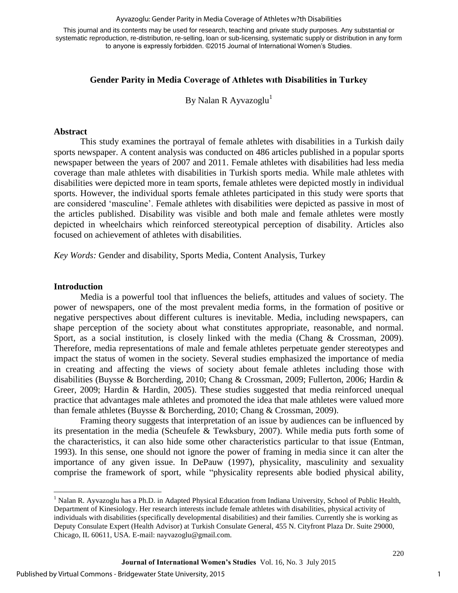#### Ayvazoglu: Gender Parity in Media Coverage of Athletes w?th Disabilities

This journal and its contents may be used for research, teaching and private study purposes. Any substantial or systematic reproduction, re-distribution, re-selling, loan or sub-licensing, systematic supply or distribution in any form to anyone is expressly forbidden. ©2015 Journal of International Women's Studies.

#### **Gender Parity in Media Coverage of Athletes wıth Disabilities in Turkey**

By Nalan R Ayvazoglu<sup>1</sup>

#### **Abstract**

This study examines the portrayal of female athletes with disabilities in a Turkish daily sports newspaper. A content analysis was conducted on 486 articles published in a popular sports newspaper between the years of 2007 and 2011. Female athletes with disabilities had less media coverage than male athletes with disabilities in Turkish sports media. While male athletes with disabilities were depicted more in team sports, female athletes were depicted mostly in individual sports. However, the individual sports female athletes participated in this study were sports that are considered 'masculine'. Female athletes with disabilities were depicted as passive in most of the articles published. Disability was visible and both male and female athletes were mostly depicted in wheelchairs which reinforced stereotypical perception of disability. Articles also focused on achievement of athletes with disabilities.

*Key Words:* Gender and disability, Sports Media, Content Analysis, Turkey

#### **Introduction**

 $\overline{a}$ 

Media is a powerful tool that influences the beliefs, attitudes and values of society. The power of newspapers, one of the most prevalent media forms, in the formation of positive or negative perspectives about different cultures is inevitable. Media, including newspapers, can shape perception of the society about what constitutes appropriate, reasonable, and normal. Sport, as a social institution, is closely linked with the media (Chang & Crossman, 2009). Therefore, media representations of male and female athletes perpetuate gender stereotypes and impact the status of women in the society. Several studies emphasized the importance of media in creating and affecting the views of society about female athletes including those with disabilities (Buysse & Borcherding, 2010; Chang & Crossman, 2009; Fullerton, 2006; Hardin & Greer, 2009; Hardin & Hardin, 2005). These studies suggested that media reinforced unequal practice that advantages male athletes and promoted the idea that male athletes were valued more than female athletes (Buysse & Borcherding, 2010; Chang & Crossman, 2009).

Framing theory suggests that interpretation of an issue by audiences can be influenced by its presentation in the media (Scheufele & Tewksbury, 2007). While media puts forth some of the characteristics, it can also hide some other characteristics particular to that issue (Entman, 1993). In this sense, one should not ignore the power of framing in media since it can alter the importance of any given issue. In DePauw (1997), physicality, masculinity and sexuality comprise the framework of sport, while "physicality represents able bodied physical ability,

<sup>&</sup>lt;sup>1</sup> Nalan R. Ayvazoglu has a Ph.D. in Adapted Physical Education from Indiana University, School of Public Health, Department of Kinesiology. Her research interests include female athletes with disabilities, physical activity of individuals with disabilities (specifically developmental disabilities) and their families. Currently she is working as Deputy Consulate Expert (Health Advisor) at Turkish Consulate General, 455 N. Cityfront Plaza Dr. Suite 29000, Chicago, IL 60611, USA. E-mail: nayvazoglu@gmail.com.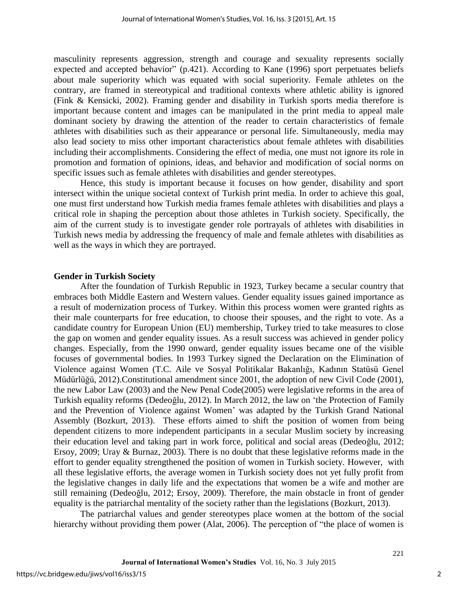masculinity represents aggression, strength and courage and sexuality represents socially expected and accepted behavior" (p.421). According to Kane (1996) sport perpetuates beliefs about male superiority which was equated with social superiority. Female athletes on the contrary, are framed in stereotypical and traditional contexts where athletic ability is ignored (Fink & Kensicki, 2002). Framing gender and disability in Turkish sports media therefore is important because content and images can be manipulated in the print media to appeal male dominant society by drawing the attention of the reader to certain characteristics of female athletes with disabilities such as their appearance or personal life. Simultaneously, media may also lead society to miss other important characteristics about female athletes with disabilities including their accomplishments. Considering the effect of media, one must not ignore its role in promotion and formation of opinions, ideas, and behavior and modification of social norms on specific issues such as female athletes with disabilities and gender stereotypes.

Hence, this study is important because it focuses on how gender, disability and sport intersect within the unique societal context of Turkish print media. In order to achieve this goal, one must first understand how Turkish media frames female athletes with disabilities and plays a critical role in shaping the perception about those athletes in Turkish society. Specifically, the aim of the current study is to investigate gender role portrayals of athletes with disabilities in Turkish news media by addressing the frequency of male and female athletes with disabilities as well as the ways in which they are portrayed.

#### **Gender in Turkish Society**

After the foundation of Turkish Republic in 1923, Turkey became a secular country that embraces both Middle Eastern and Western values. Gender equality issues gained importance as a result of modernization process of Turkey. Within this process women were granted rights as their male counterparts for free education, to choose their spouses, and the right to vote. As a candidate country for European Union (EU) membership, Turkey tried to take measures to close the gap on women and gender equality issues. As a result success was achieved in gender policy changes. Especially, from the 1990 onward, gender equality issues became one of the visible focuses of governmental bodies. In 1993 Turkey signed the Declaration on the Elimination of Violence against Women (T.C. Aile ve Sosyal Politikalar Bakanlığı, Kadının Statüsü Genel Müdürlüğü, 2012).Constitutional amendment since 2001, the adoption of new Civil Code (2001), the new Labor Law (2003) and the New Penal Code(2005) were legislative reforms in the area of Turkish equality reforms (Dedeoğlu, 2012). In March 2012, the law on 'the Protection of Family and the Prevention of Violence against Women' was adapted by the Turkish Grand National Assembly (Bozkurt, 2013). These efforts aimed to shift the position of women from being dependent citizens to more independent participants in a secular Muslim society by increasing their education level and taking part in work force, political and social areas (Dedeoğlu, 2012; Ersoy, 2009; Uray & Burnaz, 2003). There is no doubt that these legislative reforms made in the effort to gender equality strengthened the position of women in Turkish society. However, with all these legislative efforts, the average women in Turkish society does not yet fully profit from the legislative changes in daily life and the expectations that women be a wife and mother are still remaining (Dedeoğlu, 2012; Ersoy, 2009). Therefore, the main obstacle in front of gender equality is the patriarchal mentality of the society rather than the legislations (Bozkurt, 2013).

The patriarchal values and gender stereotypes place women at the bottom of the social hierarchy without providing them power (Alat, 2006). The perception of "the place of women is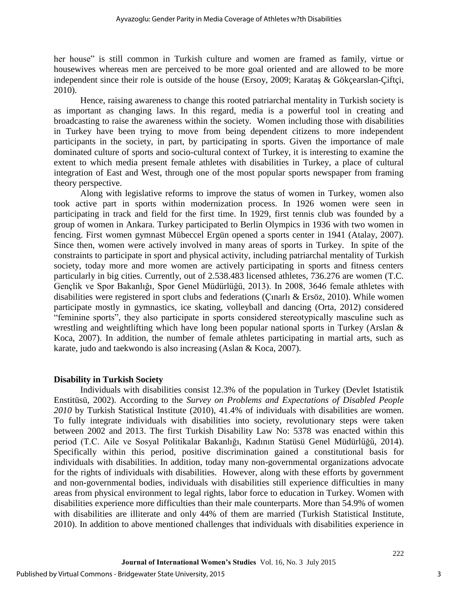her house" is still common in Turkish culture and women are framed as family, virtue or housewives whereas men are perceived to be more goal oriented and are allowed to be more independent since their role is outside of the house (Ersoy, 2009; Karataş & Gökçearslan-Çiftçi, 2010).

Hence, raising awareness to change this rooted patriarchal mentality in Turkish society is as important as changing laws. In this regard, media is a powerful tool in creating and broadcasting to raise the awareness within the society. Women including those with disabilities in Turkey have been trying to move from being dependent citizens to more independent participants in the society, in part, by participating in sports. Given the importance of male dominated culture of sports and socio-cultural context of Turkey, it is interesting to examine the extent to which media present female athletes with disabilities in Turkey, a place of cultural integration of East and West, through one of the most popular sports newspaper from framing theory perspective.

Along with legislative reforms to improve the status of women in Turkey, women also took active part in sports within modernization process. In 1926 women were seen in participating in track and field for the first time. In 1929, first tennis club was founded by a group of women in Ankara. Turkey participated to Berlin Olympics in 1936 with two women in fencing. First women gymnast Mübeccel Ergün opened a sports center in 1941 (Atalay, 2007). Since then, women were actively involved in many areas of sports in Turkey. In spite of the constraints to participate in sport and physical activity, including patriarchal mentality of Turkish society, today more and more women are actively participating in sports and fitness centers particularly in big cities. Currently, out of 2.538.483 licensed athletes, 736.276 are women (T.C. Gençlik ve Spor Bakanlığı, Spor Genel Müdürlüğü, 2013). In 2008, 3646 female athletes with disabilities were registered in sport clubs and federations (Çınarlı & Ersöz, 2010). While women participate mostly in gymnastics, ice skating, volleyball and dancing (Orta, 2012) considered "feminine sports", they also participate in sports considered stereotypically masculine such as wrestling and weightlifting which have long been popular national sports in Turkey (Arslan & Koca, 2007). In addition, the number of female athletes participating in martial arts, such as karate, judo and taekwondo is also increasing (Aslan & Koca, 2007).

### **Disability in Turkish Society**

Individuals with disabilities consist 12.3% of the population in Turkey (Devlet Istatistik Enstitüsü, 2002). According to the *Survey on Problems and Expectations of Disabled People 2010* by Turkish Statistical Institute (2010), 41.4% of individuals with disabilities are women. To fully integrate individuals with disabilities into society, revolutionary steps were taken between 2002 and 2013. The first Turkish Disability Law No: 5378 was enacted within this period (T.C. Aile ve Sosyal Politikalar Bakanlığı, Kadının Statüsü Genel Müdürlüğü, 2014). Specifically within this period, positive discrimination gained a constitutional basis for individuals with disabilities. In addition, today many non-governmental organizations advocate for the rights of individuals with disabilities. However, along with these efforts by government and non-governmental bodies, individuals with disabilities still experience difficulties in many areas from physical environment to legal rights, labor force to education in Turkey. Women with disabilities experience more difficulties than their male counterparts. More than 54.9% of women with disabilities are illiterate and only 44% of them are married (Turkish Statistical Institute, 2010). In addition to above mentioned challenges that individuals with disabilities experience in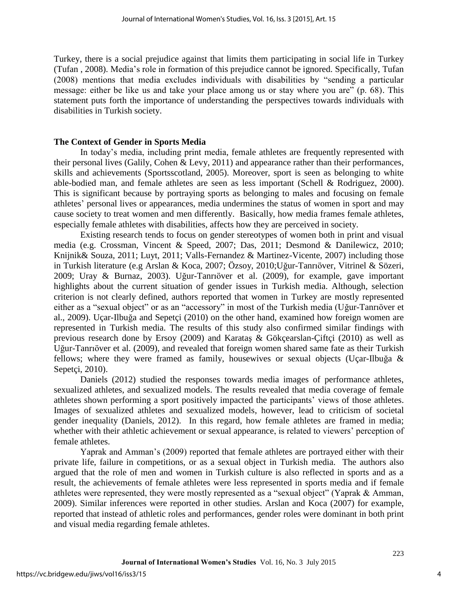Turkey, there is a social prejudice against that limits them participating in social life in Turkey (Tufan , 2008). Media's role in formation of this prejudice cannot be ignored. Specifically, Tufan (2008) mentions that media excludes individuals with disabilities by "sending a particular message: either be like us and take your place among us or stay where you are" (p. 68). This statement puts forth the importance of understanding the perspectives towards individuals with disabilities in Turkish society.

## **The Context of Gender in Sports Media**

In today's media, including print media, female athletes are frequently represented with their personal lives (Galily, Cohen & Levy, 2011) and appearance rather than their performances, skills and achievements (Sportsscotland, 2005). Moreover, sport is seen as belonging to white able-bodied man, and female athletes are seen as less important (Schell & Rodriguez, 2000). This is significant because by portraying sports as belonging to males and focusing on female athletes' personal lives or appearances, media undermines the status of women in sport and may cause society to treat women and men differently. Basically, how media frames female athletes, especially female athletes with disabilities, affects how they are perceived in society.

Existing research tends to focus on gender stereotypes of women both in print and visual media (e.g. Crossman, Vincent & Speed, 2007; Das, 2011; Desmond & Danilewicz, 2010; Knijnik& Souza, 2011; Luyt, 2011; Valls-Fernandez & Martinez-Vicente, 2007) including those in Turkish literature (e.g Arslan & Koca, 2007; Özsoy, 2010;Uğur-Tanrıöver, Vitrinel & Sözeri, 2009; Uray & Burnaz, 2003). Uğur-Tanrıöver et al. (2009), for example, gave important highlights about the current situation of gender issues in Turkish media. Although, selection criterion is not clearly defined, authors reported that women in Turkey are mostly represented either as a "sexual object" or as an "accessory" in most of the Turkish media (Uğur-Tanrıöver et al., 2009). Uçar-Ilbuğa and Sepetçi (2010) on the other hand, examined how foreign women are represented in Turkish media. The results of this study also confirmed similar findings with previous research done by Ersoy (2009) and Karataş & Gökçearslan-Çiftçi (2010) as well as Uğur-Tanrıöver et al. (2009), and revealed that foreign women shared same fate as their Turkish fellows; where they were framed as family, housewives or sexual objects (Uçar-Ilbuğa & Sepetci, 2010).

Daniels (2012) studied the responses towards media images of performance athletes, sexualized athletes, and sexualized models. The results revealed that media coverage of female athletes shown performing a sport positively impacted the participants' views of those athletes. Images of sexualized athletes and sexualized models, however, lead to criticism of societal gender inequality (Daniels, 2012). In this regard, how female athletes are framed in media; whether with their athletic achievement or sexual appearance, is related to viewers' perception of female athletes.

Yaprak and Amman's (2009) reported that female athletes are portrayed either with their private life, failure in competitions, or as a sexual object in Turkish media. The authors also argued that the role of men and women in Turkish culture is also reflected in sports and as a result, the achievements of female athletes were less represented in sports media and if female athletes were represented, they were mostly represented as a "sexual object" (Yaprak & Amman, 2009). Similar inferences were reported in other studies. Arslan and Koca (2007) for example, reported that instead of athletic roles and performances, gender roles were dominant in both print and visual media regarding female athletes.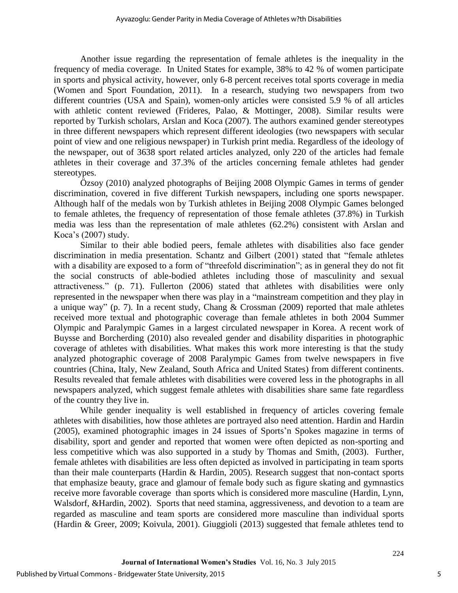Another issue regarding the representation of female athletes is the inequality in the frequency of media coverage. In United States for example, 38% to 42 % of women participate in sports and physical activity, however, only 6-8 percent receives total sports coverage in media (Women and Sport Foundation, 2011). In a research, studying two newspapers from two different countries (USA and Spain), women-only articles were consisted 5.9 % of all articles with athletic content reviewed (Frideres, Palao, & Mottinger, 2008). Similar results were reported by Turkish scholars, Arslan and Koca (2007). The authors examined gender stereotypes in three different newspapers which represent different ideologies (two newspapers with secular point of view and one religious newspaper) in Turkish print media. Regardless of the ideology of the newspaper, out of 3638 sport related articles analyzed, only 220 of the articles had female athletes in their coverage and 37.3% of the articles concerning female athletes had gender stereotypes.

Özsoy (2010) analyzed photographs of Beijing 2008 Olympic Games in terms of gender discrimination, covered in five different Turkish newspapers, including one sports newspaper. Although half of the medals won by Turkish athletes in Beijing 2008 Olympic Games belonged to female athletes, the frequency of representation of those female athletes (37.8%) in Turkish media was less than the representation of male athletes (62.2%) consistent with Arslan and Koca's (2007) study.

Similar to their able bodied peers, female athletes with disabilities also face gender discrimination in media presentation. Schantz and Gilbert (2001) stated that "female athletes with a disability are exposed to a form of "threefold discrimination"; as in general they do not fit the social constructs of able-bodied athletes including those of masculinity and sexual attractiveness." (p. 71). Fullerton (2006) stated that athletes with disabilities were only represented in the newspaper when there was play in a "mainstream competition and they play in a unique way" (p. 7). In a recent study, Chang & Crossman (2009) reported that male athletes received more textual and photographic coverage than female athletes in both 2004 Summer Olympic and Paralympic Games in a largest circulated newspaper in Korea. A recent work of Buysse and Borcherding (2010) also revealed gender and disability disparities in photographic coverage of athletes with disabilities. What makes this work more interesting is that the study analyzed photographic coverage of 2008 Paralympic Games from twelve newspapers in five countries (China, Italy, New Zealand, South Africa and United States) from different continents. Results revealed that female athletes with disabilities were covered less in the photographs in all newspapers analyzed, which suggest female athletes with disabilities share same fate regardless of the country they live in.

While gender inequality is well established in frequency of articles covering female athletes with disabilities, how those athletes are portrayed also need attention. Hardin and Hardin (2005), examined photographic images in 24 issues of Sports'n Spokes magazine in terms of disability, sport and gender and reported that women were often depicted as non-sporting and less competitive which was also supported in a study by Thomas and Smith, (2003). Further, female athletes with disabilities are less often depicted as involved in participating in team sports than their male counterparts (Hardin & Hardin, 2005). Research suggest that non-contact sports that emphasize beauty, grace and glamour of female body such as figure skating and gymnastics receive more favorable coverage than sports which is considered more masculine (Hardin, Lynn, Walsdorf, &Hardin, 2002). Sports that need stamina, aggressiveness, and devotion to a team are regarded as masculine and team sports are considered more masculine than individual sports (Hardin & Greer, 2009; Koivula, 2001). Giuggioli (2013) suggested that female athletes tend to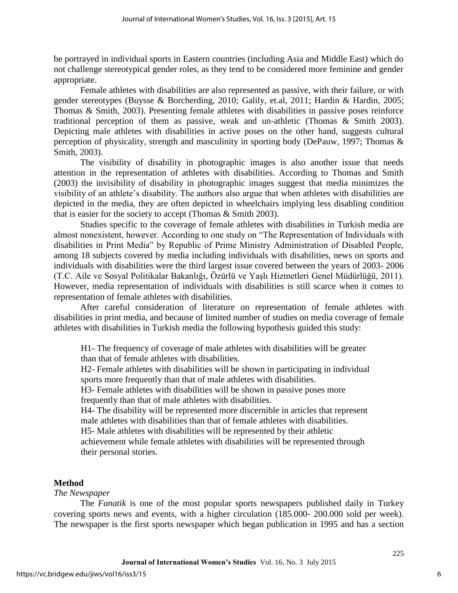be portrayed in individual sports in Eastern countries (including Asia and Middle East) which do not challenge stereotypical gender roles, as they tend to be considered more feminine and gender appropriate.

Female athletes with disabilities are also represented as passive, with their failure, or with gender stereotypes (Buysse & Borcherding, 2010; Galily, et.al, 2011; Hardin & Hardin, 2005; Thomas & Smith, 2003). Presenting female athletes with disabilities in passive poses reinforce traditional perception of them as passive, weak and un-athletic (Thomas & Smith 2003). Depicting male athletes with disabilities in active poses on the other hand, suggests cultural perception of physicality, strength and masculinity in sporting body (DePauw, 1997; Thomas & Smith, 2003).

The visibility of disability in photographic images is also another issue that needs attention in the representation of athletes with disabilities. According to Thomas and Smith (2003) the invisibility of disability in photographic images suggest that media minimizes the visibility of an athlete's disability. The authors also argue that when athletes with disabilities are depicted in the media, they are often depicted in wheelchairs implying less disabling condition that is easier for the society to accept (Thomas & Smith 2003).

Studies specific to the coverage of female athletes with disabilities in Turkish media are almost nonexistent, however. According to one study on "The Representation of Individuals with disabilities in Print Media" by Republic of Prime Ministry Administration of Disabled People, among 18 subjects covered by media including individuals with disabilities, news on sports and individuals with disabilities were the third largest issue covered between the years of 2003- 2006 (T.C. Aile ve Sosyal Politikalar Bakanlığı, Özürlü ve Yaşlı Hizmetleri Genel Müdürlüğü, 2011). However, media representation of individuals with disabilities is still scarce when it comes to representation of female athletes with disabilities.

After careful consideration of literature on representation of female athletes with disabilities in print media, and because of limited number of studies on media coverage of female athletes with disabilities in Turkish media the following hypothesis guided this study:

H1- The frequency of coverage of male athletes with disabilities will be greater than that of female athletes with disabilities.

H2- Female athletes with disabilities will be shown in participating in individual sports more frequently than that of male athletes with disabilities.

H3- Female athletes with disabilities will be shown in passive poses more frequently than that of male athletes with disabilities.

H4- The disability will be represented more discernible in articles that represent male athletes with disabilities than that of female athletes with disabilities.

H5- Male athletes with disabilities will be represented by their athletic

achievement while female athletes with disabilities will be represented through their personal stories.

# **Method**

### *The Newspaper*

The *Fanatik* is one of the most popular sports newspapers published daily in [Turkey](http://www.mondotimes.com/1/world/tr) covering sports news and events, with a higher circulation (185.000- 200.000 sold per week). The newspaper is the first sports newspaper which began publication in 1995 and has a section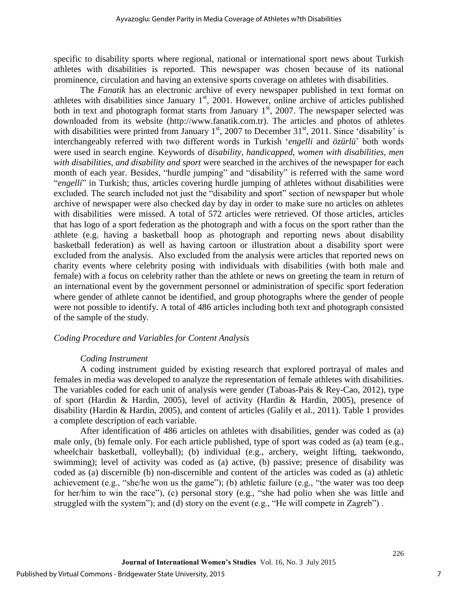specific to disability sports where regional, national or international sport news about Turkish athletes with disabilities is reported. This newspaper was chosen because of its national prominence, circulation and having an extensive sports coverage on athletes with disabilities.

The *Fanatik* has an electronic archive of every newspaper published in text format on athletes with disabilities since January  $1<sup>st</sup>$ , 2001. However, online archive of articles published both in text and photograph format starts from January  $1<sup>st</sup>$ , 2007. The newspaper selected was downloaded from its website [\(http://www.fanatik.com.tr\)](http://www.fanatik.com.tr/). The articles and photos of athletes with disabilities were printed from January  $1<sup>st</sup>$ , 2007 to December 31 $<sup>st</sup>$ , 2011. Since 'disability' is</sup> interchangeably referred with two different words in Turkish '*engelli* and *özürlü*' both words were used in search engine. Keywords of d*isability, handicapped, women with disabilities, men with disabilities, and disability and sport* were searched in the archives of the newspaper for each month of each year. Besides, "hurdle jumping" and "disability" is referred with the same word "*engelli*" in Turkish; thus, articles covering hurdle jumping of athletes without disabilities were excluded. The search included not just the "disability and sport" section of newspaper but whole archive of newspaper were also checked day by day in order to make sure no articles on athletes with disabilities were missed. A total of 572 articles were retrieved. Of those articles, articles that has logo of a sport federation as the photograph and with a focus on the sport rather than the athlete (e.g. having a basketball hoop as photograph and reporting news about disability basketball federation) as well as having cartoon or illustration about a disability sport were excluded from the analysis. Also excluded from the analysis were articles that reported news on charity events where celebrity posing with individuals with disabilities (with both male and female) with a focus on celebrity rather than the athlete or news on greeting the team in return of an international event by the government personnel or administration of specific sport federation where gender of athlete cannot be identified, and group photographs where the gender of people were not possible to identify. A total of 486 articles including both text and photograph consisted of the sample of the study.

#### *Coding Procedure and Variables for Content Analysis*

### *Coding Instrument*

A coding instrument guided by existing research that explored portrayal of males and females in media was developed to analyze the representation of female athletes with disabilities. The variables coded for each unit of analysis were gender (Taboas-Pais & Rey-Cao, 2012), type of sport (Hardin & Hardin, 2005), level of activity (Hardin & Hardin, 2005), presence of disability (Hardin & Hardin, 2005), and content of articles (Galily et al., 2011). Table 1 provides a complete description of each variable.

After identification of 486 articles on athletes with disabilities, gender was coded as (a) male only, (b) female only. For each article published, type of sport was coded as (a) team (e.g., wheelchair basketball, volleyball); (b) individual (e.g., archery, weight lifting, taekwondo, swimming); level of activity was coded as (a) active, (b) passive; presence of disability was coded as (a) discernible (b) non-discernible and content of the articles was coded as (a) athletic achievement (e.g., "she/he won us the game"); (b) athletic failure (e.g., "the water was too deep for her/him to win the race"), (c) personal story (e.g., "she had polio when she was little and struggled with the system"); and (d) story on the event (e.g., "He will compete in Zagreb") .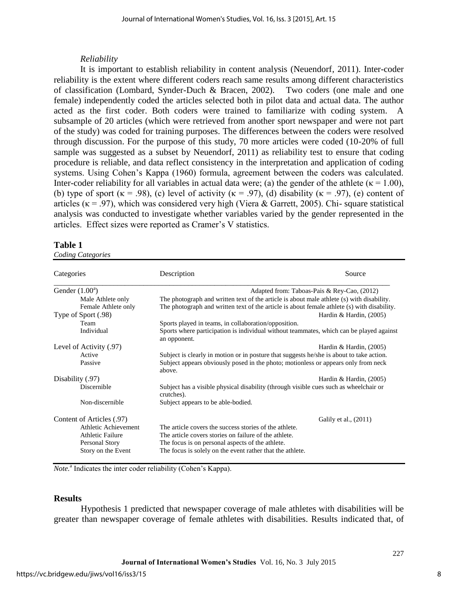## *Reliability*

It is important to establish reliability in content analysis (Neuendorf, 2011). Inter-coder reliability is the extent where different coders reach same results among different characteristics of classification (Lombard, Synder-Duch & Bracen, 2002). Two coders (one male and one female) independently coded the articles selected both in pilot data and actual data. The author acted as the first coder. Both coders were trained to familiarize with coding system. A subsample of 20 articles (which were retrieved from another sport newspaper and were not part of the study) was coded for training purposes. The differences between the coders were resolved through discussion. For the purpose of this study, 70 more articles were coded (10-20% of full sample was suggested as a subset by Neuendorf, 2011) as reliability test to ensure that coding procedure is reliable, and data reflect consistency in the interpretation and application of coding systems. Using Cohen's Kappa (1960) formula, agreement between the coders was calculated. Inter-coder reliability for all variables in actual data were; (a) the gender of the athlete ( $\kappa = 1.00$ ), (b) type of sport ( $\kappa$  = .98), (c) level of activity ( $\kappa$  = .97), (d) disability ( $\kappa$  = .97), (e) content of articles ( $\kappa$  = .97), which was considered very high (Viera & Garrett, 2005). Chi- square statistical analysis was conducted to investigate whether variables varied by the gender represented in the articles. Effect sizes were reported as Cramer's V statistics.

## **Table 1**

*Coding Categories* 

| Categories                | Description                                                                                             | Source                                      |
|---------------------------|---------------------------------------------------------------------------------------------------------|---------------------------------------------|
| Gender $(1.00^a)$         |                                                                                                         | Adapted from: Taboas-Pais & Rey-Cao, (2012) |
| Male Athlete only         | The photograph and written text of the article is about male athlete (s) with disability.               |                                             |
| Female Athlete only       | The photograph and written text of the article is about female athlete (s) with disability.             |                                             |
| Type of Sport (.98)       |                                                                                                         | Hardin & Hardin, $(2005)$                   |
| Team                      | Sports played in teams, in collaboration/opposition.                                                    |                                             |
| Individual                | Sports where participation is individual without teammates, which can be played against<br>an opponent. |                                             |
| Level of Activity (.97)   |                                                                                                         | Hardin & Hardin, $(2005)$                   |
| Active                    | Subject is clearly in motion or in posture that suggests he/she is about to take action.                |                                             |
| Passive                   | Subject appears obviously posed in the photo; motionless or appears only from neck<br>above.            |                                             |
| Disability (.97)          |                                                                                                         | Hardin & Hardin, $(2005)$                   |
| Discernible               | Subject has a visible physical disability (through visible cues such as wheelchair or<br>crutches).     |                                             |
| Non-discernible           | Subject appears to be able-bodied.                                                                      |                                             |
| Content of Articles (.97) |                                                                                                         | Galily et al., (2011)                       |
| Athletic Achievement      | The article covers the success stories of the athlete.                                                  |                                             |
| Athletic Failure          | The article covers stories on failure of the athlete.                                                   |                                             |
| Personal Story            | The focus is on personal aspects of the athlete.                                                        |                                             |
| Story on the Event        | The focus is solely on the event rather that the athlete.                                               |                                             |

Note.<sup>a</sup> Indicates the inter coder reliability (Cohen's Kappa).

### **Results**

Hypothesis 1 predicted that newspaper coverage of male athletes with disabilities will be greater than newspaper coverage of female athletes with disabilities. Results indicated that, of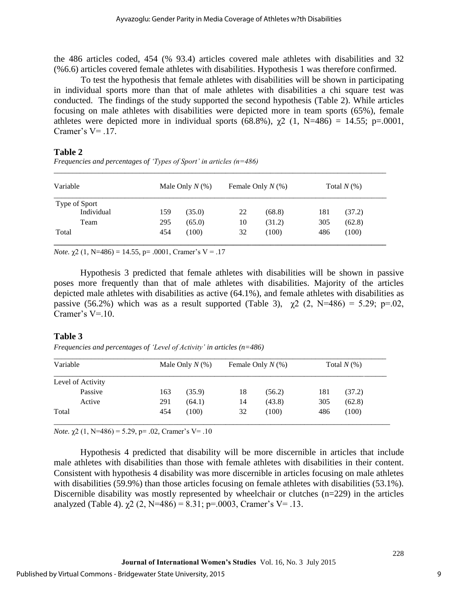the 486 articles coded, 454 (% 93.4) articles covered male athletes with disabilities and 32 (%6.6) articles covered female athletes with disabilities. Hypothesis 1 was therefore confirmed.

To test the hypothesis that female athletes with disabilities will be shown in participating in individual sports more than that of male athletes with disabilities a chi square test was conducted. The findings of the study supported the second hypothesis (Table 2). While articles focusing on male athletes with disabilities were depicted more in team sports (65%), female athletes were depicted more in individual sports  $(68.8\%)$ ,  $\gamma$ 2  $(1, N=486) = 14.55$ ; p=.0001, Cramer's  $V = .17$ .

# **Table 2**

*Frequencies and percentages of 'Types of Sport' in articles (n=486)*

| Variable      |     | Male Only $N(\%)$ |    | Female Only $N$ (%) |     | Total $N(\%)$ |  |
|---------------|-----|-------------------|----|---------------------|-----|---------------|--|
| Type of Sport |     |                   |    |                     |     |               |  |
| Individual    | 159 | (35.0)            | 22 | (68.8)              | 181 | (37.2)        |  |
| Team          | 295 | (65.0)            | 10 | (31.2)              | 305 | (62.8)        |  |
| Total         | 454 | (100)             | 32 | (100)               | 486 | (100)         |  |
|               |     |                   |    |                     |     |               |  |

*\_\_\_\_\_\_\_\_\_\_\_\_\_\_\_\_\_\_\_\_\_\_\_\_\_\_\_\_\_\_\_\_\_\_\_\_\_\_\_\_\_\_\_\_\_\_\_\_\_\_\_\_\_\_\_\_\_\_\_\_\_\_\_\_\_\_\_\_\_\_\_\_\_\_\_\_\_\_\_\_\_\_\_\_\_\_\_\_\_* 

*Note.*  $\chi$ 2 (1, N=486) = 14.55, p= .0001, Cramer's V = .17

Hypothesis 3 predicted that female athletes with disabilities will be shown in passive poses more frequently than that of male athletes with disabilities. Majority of the articles depicted male athletes with disabilities as active (64.1%), and female athletes with disabilities as passive (56.2%) which was as a result supported (Table 3),  $\chi$ 2 (2, N=486) = 5.29; p=.02, Cramer's  $V=10$ .

### **Table 3**

*Frequencies and percentages of 'Level of Activity' in articles (n=486)* 

| Variable          | Male Only $N(\%)$ |        | Female Only $N$ (%) |        | Total $N(\%)$ |        |
|-------------------|-------------------|--------|---------------------|--------|---------------|--------|
| Level of Activity |                   |        |                     |        |               |        |
| Passive           | 163               | (35.9) | 18                  | (56.2) | 181           | (37.2) |
| Active            | 291               | (64.1) | 14                  | (43.8) | 305           | (62.8) |
| Total             | 454               | (100)  | 32                  | (100)  | 486           | (100)  |

*Note.*  $\chi$ 2 (1, N=486) = 5.29, p= .02, Cramer's V= .10

Hypothesis 4 predicted that disability will be more discernible in articles that include male athletes with disabilities than those with female athletes with disabilities in their content. Consistent with hypothesis 4 disability was more discernible in articles focusing on male athletes with disabilities (59.9%) than those articles focusing on female athletes with disabilities (53.1%). Discernible disability was mostly represented by wheelchair or clutches (n=229) in the articles analyzed (Table 4).  $\gamma$ 2 (2, N=486) = 8.31; p=.0003, Cramer's V= .13.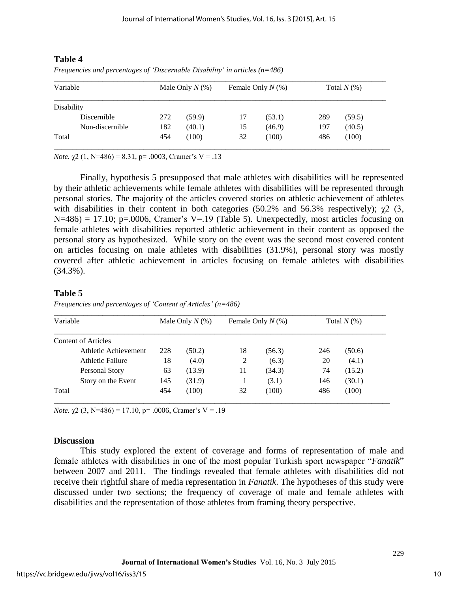# **Table 4**

|  |  | Frequencies and percentages of 'Discernable Disability' in articles $(n=486)$ |
|--|--|-------------------------------------------------------------------------------|
|  |  |                                                                               |

| Variable          | Male Only $N(\%)$ |        | Female Only $N$ (%) |        | Total $N(\%)$ |        |
|-------------------|-------------------|--------|---------------------|--------|---------------|--------|
| <b>Disability</b> |                   |        |                     |        |               |        |
| Discernible       | 272               | (59.9) | 17                  | (53.1) | 289           | (59.5) |
| Non-discernible   | 182               | (40.1) | 15                  | (46.9) | 197           | (40.5) |
| Total             | 454               | (100)  | 32                  | (100)  | 486           | (100)  |

*Note.*  $\chi$ 2 (1, N=486) = 8.31, p= .0003, Cramer's V = .13

Finally, hypothesis 5 presupposed that male athletes with disabilities will be represented by their athletic achievements while female athletes with disabilities will be represented through personal stories. The majority of the articles covered stories on athletic achievement of athletes with disabilities in their content in both categories (50.2% and 56.3% respectively);  $\gamma$ 2 (3,  $N=486$ ) = 17.10; p=.0006, Cramer's V=.19 (Table 5). Unexpectedly, most articles focusing on female athletes with disabilities reported athletic achievement in their content as opposed the personal story as hypothesized. While story on the event was the second most covered content on articles focusing on male athletes with disabilities (31.9%), personal story was mostly covered after athletic achievement in articles focusing on female athletes with disabilities  $(34.3\%)$ .

# **Table 5**

| Variable             | Male Only $N(\%)$ |        | Female Only $N$ (%) |        | Total $N(\%)$ |        |
|----------------------|-------------------|--------|---------------------|--------|---------------|--------|
| Content of Articles  |                   |        |                     |        |               |        |
| Athletic Achievement | 228               | (50.2) | 18                  | (56.3) | 246           | (50.6) |
| Athletic Failure     | 18                | (4.0)  | 2                   | (6.3)  | 20            | (4.1)  |
| Personal Story       | 63                | (13.9) | 11                  | (34.3) | 74            | (15.2) |
| Story on the Event   | 145               | (31.9) |                     | (3.1)  | 146           | (30.1) |
| Total                | 454               | (100)  | 32                  | (100)  | 486           | (100)  |

*Frequencies and percentages of 'Content of Articles' (n=486)* 

*Note.*  $\chi$ 2 (3, N=486) = 17.10, p= .0006, Cramer's V = .19

### **Discussion**

This study explored the extent of coverage and forms of representation of male and female athletes with disabilities in one of the most popular Turkish sport newspaper "*Fanatik*" between 2007 and 2011. The findings revealed that female athletes with disabilities did not receive their rightful share of media representation in *Fanatik*. The hypotheses of this study were discussed under two sections; the frequency of coverage of male and female athletes with disabilities and the representation of those athletes from framing theory perspective.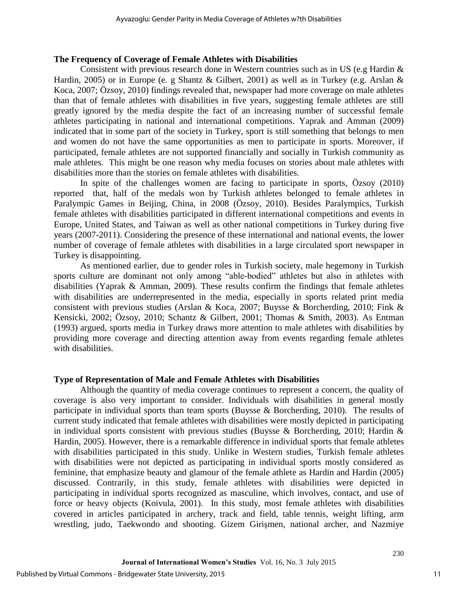#### **The Frequency of Coverage of Female Athletes with Disabilities**

Consistent with previous research done in Western countries such as in US (e.g Hardin  $\&$ Hardin, 2005) or in Europe (e. g Shantz & Gilbert, 2001) as well as in Turkey (e.g. Arslan & Koca, 2007; Özsoy, 2010) findings revealed that, newspaper had more coverage on male athletes than that of female athletes with disabilities in five years, suggesting female athletes are still greatly ignored by the media despite the fact of an increasing number of successful female athletes participating in national and international competitions. Yaprak and Amman (2009) indicated that in some part of the society in Turkey, sport is still something that belongs to men and women do not have the same opportunities as men to participate in sports. Moreover, if participated, female athletes are not supported financially and socially in Turkish community as male athletes. This might be one reason why media focuses on stories about male athletes with disabilities more than the stories on female athletes with disabilities.

In spite of the challenges women are facing to participate in sports, Özsoy (2010) reported that, half of the medals won by Turkish athletes belonged to female athletes in Paralympic Games in Beijing, China, in 2008 (Özsoy, 2010). Besides Paralympics, Turkish female athletes with disabilities participated in different international competitions and events in Europe, United States, and Taiwan as well as other national competitions in Turkey during five years (2007-2011). Considering the presence of these international and national events, the lower number of coverage of female athletes with disabilities in a large circulated sport newspaper in Turkey is disappointing.

As mentioned earlier, due to gender roles in Turkish society, male hegemony in Turkish sports culture are dominant not only among "able-bodied" athletes but also in athletes with disabilities (Yaprak & Amman, 2009). These results confirm the findings that female athletes with disabilities are underrepresented in the media, especially in sports related print media consistent with previous studies (Arslan & Koca, 2007; Buysse & Borcherding, 2010; Fink & Kensicki, 2002; Özsoy, 2010; Schantz & Gilbert, 2001; Thomas & Smith, 2003). As Entman (1993) argued, sports media in Turkey draws more attention to male athletes with disabilities by providing more coverage and directing attention away from events regarding female athletes with disabilities.

### **Type of Representation of Male and Female Athletes with Disabilities**

Although the quantity of media coverage continues to represent a concern, the quality of coverage is also very important to consider. Individuals with disabilities in general mostly participate in individual sports than team sports (Buysse & Borcherding, 2010). The results of current study indicated that female athletes with disabilities were mostly depicted in participating in individual sports consistent with previous studies (Buysse & Borcherding, 2010; Hardin & Hardin, 2005). However, there is a remarkable difference in individual sports that female athletes with disabilities participated in this study. Unlike in Western studies, Turkish female athletes with disabilities were not depicted as participating in individual sports mostly considered as feminine, that emphasize beauty and glamour of the female athlete as Hardin and Hardin (2005) discussed. Contrarily, in this study, female athletes with disabilities were depicted in participating in individual sports recognized as masculine, which involves, contact, and use of force or heavy objects (Koivula, 2001). In this study, most female athletes with disabilities covered in articles participated in archery, track and field, table tennis, weight lifting, arm wrestling, judo, Taekwondo and shooting. Gizem Girişmen, national archer, and Nazmiye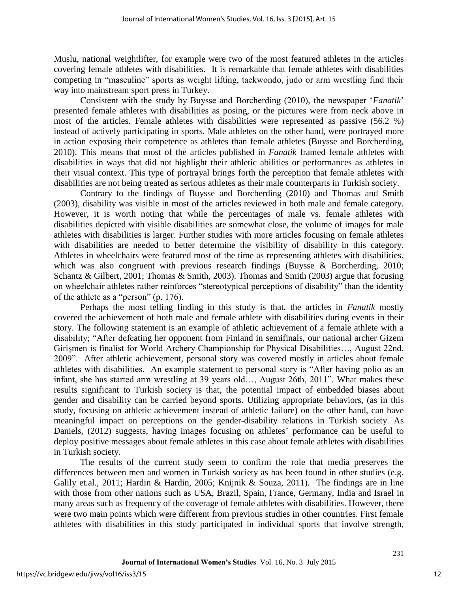Muslu, national weightlifter, for example were two of the most featured athletes in the articles covering female athletes with disabilities. It is remarkable that female athletes with disabilities competing in "masculine" sports as weight lifting, taekwondo, judo or arm wrestling find their way into mainstream sport press in Turkey.

Consistent with the study by Buysse and Borcherding (2010), the newspaper '*Fanatik*' presented female athletes with disabilities as posing, or the pictures were from neck above in most of the articles. Female athletes with disabilities were represented as passive (56.2 %) instead of actively participating in sports. Male athletes on the other hand, were portrayed more in action exposing their competence as athletes than female athletes (Buysse and Borcherding, 2010). This means that most of the articles published in *Fanatik* framed female athletes with disabilities in ways that did not highlight their athletic abilities or performances as athletes in their visual context. This type of portrayal brings forth the perception that female athletes with disabilities are not being treated as serious athletes as their male counterparts in Turkish society.

Contrary to the findings of Buysse and Borcherding (2010) and Thomas and Smith (2003), disability was visible in most of the articles reviewed in both male and female category. However, it is worth noting that while the percentages of male vs. female athletes with disabilities depicted with visible disabilities are somewhat close, the volume of images for male athletes with disabilities is larger. Further studies with more articles focusing on female athletes with disabilities are needed to better determine the visibility of disability in this category. Athletes in wheelchairs were featured most of the time as representing athletes with disabilities, which was also congruent with previous research findings (Buysse & Borcherding, 2010; Schantz & Gilbert, 2001; Thomas & Smith, 2003). Thomas and Smith (2003) argue that focusing on wheelchair athletes rather reinforces "stereotypical perceptions of disability" than the identity of the athlete as a "person" (p. 176).

Perhaps the most telling finding in this study is that, the articles in *Fanatik* mostly covered the achievement of both male and female athlete with disabilities during events in their story. The following statement is an example of athletic achievement of a female athlete with a disability; "After defeating her opponent from Finland in semifinals, our national archer Gizem Girişmen is finalist for World Archery Championship for Physical Disabilities…, August 22nd, 2009". After athletic achievement, personal story was covered mostly in articles about female athletes with disabilities. An example statement to personal story is "After having polio as an infant, she has started arm wrestling at 39 years old…, August 26th, 2011". What makes these results significant to Turkish society is that, the potential impact of embedded biases about gender and disability can be carried beyond sports. Utilizing appropriate behaviors, (as in this study, focusing on athletic achievement instead of athletic failure) on the other hand, can have meaningful impact on perceptions on the gender-disability relations in Turkish society. As Daniels, (2012) suggests, having images focusing on athletes' performance can be useful to deploy positive messages about female athletes in this case about female athletes with disabilities in Turkish society.

The results of the current study seem to confirm the role that media preserves the differences between men and women in Turkish society as has been found in other studies (e.g. Galily et.al., 2011; Hardin & Hardin, 2005; Knijnik & Souza, 2011). The findings are in line with those from other nations such as USA, Brazil, Spain, France, Germany, India and Israel in many areas such as frequency of the coverage of female athletes with disabilities. However, there were two main points which were different from previous studies in other countries. First female athletes with disabilities in this study participated in individual sports that involve strength,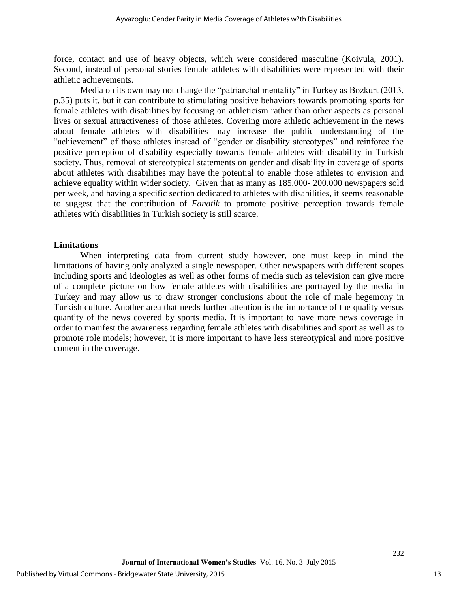force, contact and use of heavy objects, which were considered masculine (Koivula, 2001). Second, instead of personal stories female athletes with disabilities were represented with their athletic achievements.

Media on its own may not change the "patriarchal mentality" in Turkey as Bozkurt (2013, p.35) puts it, but it can contribute to stimulating positive behaviors towards promoting sports for female athletes with disabilities by focusing on athleticism rather than other aspects as personal lives or sexual attractiveness of those athletes. Covering more athletic achievement in the news about female athletes with disabilities may increase the public understanding of the "achievement" of those athletes instead of "gender or disability stereotypes" and reinforce the positive perception of disability especially towards female athletes with disability in Turkish society. Thus, removal of stereotypical statements on gender and disability in coverage of sports about athletes with disabilities may have the potential to enable those athletes to envision and achieve equality within wider society. Given that as many as 185.000- 200.000 newspapers sold per week, and having a specific section dedicated to athletes with disabilities, it seems reasonable to suggest that the contribution of *Fanatik* to promote positive perception towards female athletes with disabilities in Turkish society is still scarce.

#### **Limitations**

When interpreting data from current study however, one must keep in mind the limitations of having only analyzed a single newspaper. Other newspapers with different scopes including sports and ideologies as well as other forms of media such as television can give more of a complete picture on how female athletes with disabilities are portrayed by the media in Turkey and may allow us to draw stronger conclusions about the role of male hegemony in Turkish culture. Another area that needs further attention is the importance of the quality versus quantity of the news covered by sports media. It is important to have more news coverage in order to manifest the awareness regarding female athletes with disabilities and sport as well as to promote role models; however, it is more important to have less stereotypical and more positive content in the coverage.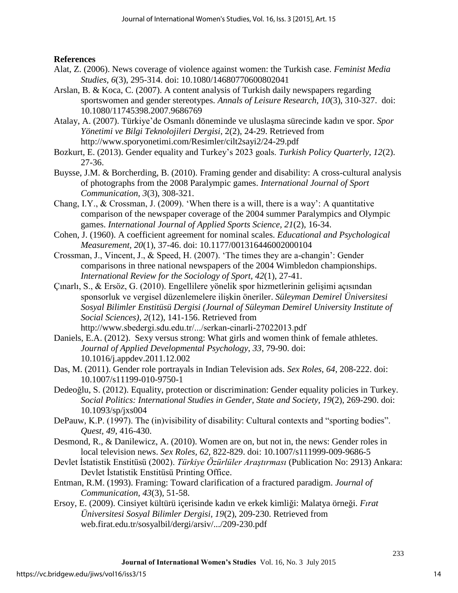# **References**

- Alat, Z. (2006). News coverage of violence against women: the Turkish case. *Feminist Media Studies, 6*(3), 295-314. doi: 10.1080/14680770600802041
- Arslan, B. & Koca, C. (2007). A content analysis of Turkish daily newspapers regarding sportswomen and gender stereotypes. *Annals of Leisure Research, 10*(3), 310-327. doi: 10.1080/11745398.2007.9686769
- Atalay, A. (2007). Türkiye'de Osmanlı döneminde ve uluslaşma sürecinde kadın ve spor. *Spor Yönetimi ve Bilgi Teknolojileri Dergisi*, 2(2), 24-29. Retrieved from http://www.sporyonetimi.com/Resimler/cilt2sayi2/24-29.pdf
- Bozkurt, E. (2013). Gender equality and Turkey's 2023 goals. *Turkish Policy Quarterly, 12*(2). 27-36.
- Buysse, J.M. & Borcherding, B. (2010). Framing gender and disability: A cross-cultural analysis of photographs from the 2008 Paralympic games. *International Journal of Sport Communication, 3*(3), 308-321.
- Chang, I.Y., & Crossman, J. (2009). 'When there is a will, there is a way': A quantitative comparison of the newspaper coverage of the 2004 summer Paralympics and Olympic games. *International Journal of Applied Sports Science, 21*(2), 16-34.
- Cohen, J. (1960). A coefficient agreement for nominal scales. *Educational and Psychological Measurement, 20*(1), 37-46. doi: 10.1177/001316446002000104
- Crossman, J., Vincent, J., & Speed, H. (2007). 'The times they are a-changin': Gender comparisons in three national newspapers of the 2004 Wimbledon championships. *International Review for the Sociology of Sport, 42*(1), 27-41.
- Çınarlı, S., & Ersöz, G. (2010). Engellilere yönelik spor hizmetlerinin gelişimi açısından sponsorluk ve vergisel düzenlemelere ilişkin öneriler. *Süleyman Demirel Üniversitesi Sosyal Bilimler Enstitüsü Dergisi (Journal of Süleyman Demirel University Institute of Social Sciences), 2*(12), 141-156. Retrieved from http://www.sbedergi.sdu.edu.tr/.../serkan-cinarli-27022013.pdf
- Daniels, E.A. (2012). Sexy versus strong: What girls and women think of female athletes. *Journal of Applied Developmental Psychology, 33*, 79-90. doi: 10.1016/j.appdev.2011.12.002
- Das, M. (2011). Gender role portrayals in Indian Television ads. *Sex Roles, 64*, 208-222. doi: 10.1007/s11199-010-9750-1
- Dedeoğlu, S. (2012). Equality, protection or discrimination: Gender equality policies in Turkey. *Social Politics: International Studies in Gender, State and Society, 19*(2), 269-290. doi: 10.1093/sp/jxs004
- DePauw, K.P. (1997). The (in)visibility of disability: Cultural contexts and "sporting bodies". *Quest, 49*, 416-430.
- Desmond, R., & Danilewicz, A. (2010). Women are on, but not in, the news: Gender roles in local television news. *Sex Roles, 62,* 822-829. doi: 10.1007/s111999-009-9686-5
- Devlet İstatistik Enstitüsü (2002). *Türkiye Özürlüler Araştırması* (Publication No: 2913) Ankara: Devlet İstatistik Enstitüsü Printing Office.
- Entman, R.M. (1993). Framing: Toward clarification of a fractured paradigm. *Journal of Communication, 43*(3), 51-58.
- Ersoy, E. (2009). Cinsiyet kültürü içerisinde kadın ve erkek kimliği: Malatya örneği. *Fırat Üniversitesi Sosyal Bilimler Dergisi, 19*(2), 209-230. Retrieved from web.firat.edu.tr/sosyalbil/dergi/arsiv/.../209-230.pdf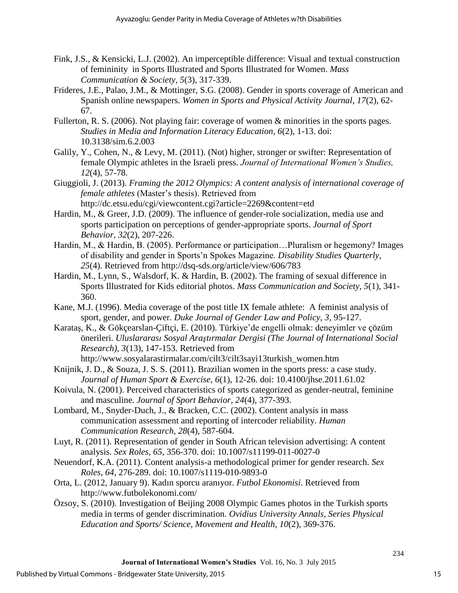- Fink, J.S., & Kensicki, L.J. (2002). An imperceptible difference: Visual and textual construction of femininity in Sports Illustrated and Sports Illustrated for Women. *Mass Communication & Society, 5*(3), 317-339.
- Frideres, J.E., Palao, J.M., & Mottinger, S.G. (2008). Gender in sports coverage of American and Spanish online newspapers. *Women in Sports and Physical Activity Journal, 17*(2), 62- 67.
- Fullerton, R. S. (2006). Not playing fair: coverage of women & minorities in the sports pages. *Studies in Media and Information Literacy Education, 6*(2), 1-13. doi: 10.3138/sim.6.2.003
- Galily, Y., Cohen, N., & Levy, M. (2011). (Not) higher, stronger or swifter: Representation of female Olympic athletes in the Israeli press. *Journal of International Women's Studies, 12*(4), 57-78.
- Giuggioli, J. (2013). *Framing the 2012 Olympics: A content analysis of international coverage of female athletes* (Master's thesis). Retrieved from http://dc.etsu.edu/cgi/viewcontent.cgi?article=2269&content=etd
- Hardin, M., & Greer, J.D. (2009). The influence of gender-role socialization, media use and sports participation on perceptions of gender-appropriate sports. *Journal of Sport Behavior, 32*(2), 207-226.
- Hardin, M., & Hardin, B. (2005). Performance or participation…Pluralism or hegemony? Images of disability and gender in Sports'n Spokes Magazine. *Disability Studies Quarterly, 25*(4). Retrieved from http://dsq-sds.org/article/view/606/783
- Hardin, M., Lynn, S., Walsdorf, K. & Hardin, B. (2002). The framing of sexual difference in Sports Illustrated for Kids editorial photos. *Mass Communication and Society, 5*(1), 341- 360.
- Kane, M.J. (1996). Media coverage of the post title IX female athlete: A feminist analysis of sport, gender, and power. *Duke Journal of Gender Law and Policy, 3*, 95-127.
- Karataş, K., & Gökçearslan-Çiftçi, E. (2010). Türkiye'de engelli olmak: deneyimler ve çözüm önerileri. *Uluslararası Sosyal Araştırmalar Dergisi (The Journal of International Social Research), 3*(13), 147-153. Retrieved from
	- [http://www.sosyalarastirmalar.com/cilt3/cilt3sayi13turkish\\_women.htm](http://www.sosyalarastirmalar.com/cilt3/cilt3sayi13turkish_women.htm)
- Knijnik, J. D., & Souza, J. S. S. (2011). Brazilian women in the sports press: a case study. *Journal of Human Sport & Exercise, 6*(1), 12-26. doi: 10.4100/jhse.2011.61.02
- Koivula, N. (2001). Perceived characteristics of sports categorized as gender-neutral, feminine and masculine. *Journal of Sport Behavior, 24*(4), 377-393.
- Lombard, M., Snyder-Duch, J., & Bracken, C.C. (2002). Content analysis in mass communication assessment and reporting of intercoder reliability. *Human Communication Research, 28*(4), 587-604.
- Luyt, R. (2011). Representation of gender in South African television advertising: A content analysis. *Sex Roles, 65*, 356-370. doi: 10.1007/s11199-011-0027-0
- Neuendorf, K.A. (2011). Content analysis-a methodological primer for gender research. *Sex Roles, 64*, 276-289. doi: 10.1007/s1119-010-9893-0
- Orta, L. (2012, January 9). Kadın sporcu aranıyor. *Futbol Ekonomisi*. Retrieved from http://www.futbolekonomi.com/
- Özsoy, S. (2010). Investigation of Beijing 2008 Olympic Games photos in the Turkish sports media in terms of gender discrimination. *Ovidius University Annals, Series Physical Education and Sports/ Science, Movement and Health, 10*(2), 369-376.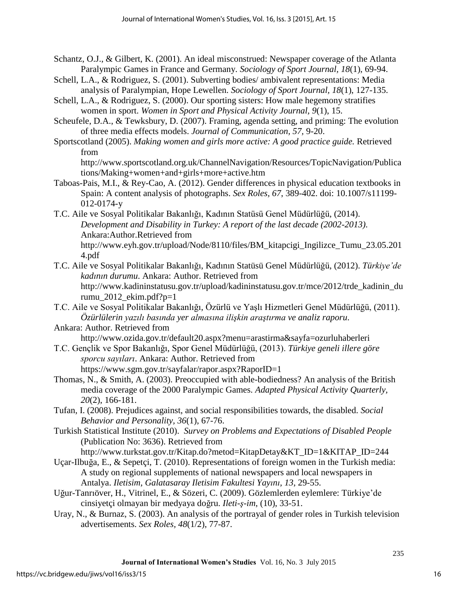- Schantz, O.J., & Gilbert, K. (2001). An ideal misconstrued: Newspaper coverage of the Atlanta Paralympic Games in France and Germany. *Sociology of Sport Journal, 18*(1), 69-94.
- Schell, L.A., & Rodriguez, S. (2001). Subverting bodies/ ambivalent representations: Media analysis of Paralympian, Hope Lewellen. *Sociology of Sport Journal, 18*(1), 127-135.
- Schell, L.A., & Rodriguez, S. (2000). Our sporting sisters: How male hegemony stratifies women in sport. *Women in Sport and Physical Activity Journal, 9*(1), 15.
- Scheufele, D.A., & Tewksbury, D. (2007). Framing, agenda setting, and priming: The evolution of three media effects models. *Journal of Communication, 57,* 9-20.
- Sportscotland (2005). *Making women and girls more active: A good practice guide.* Retrieved from

http://www.sportscotland.org.uk/ChannelNavigation/Resources/TopicNavigation/Publica tions/Making+women+and+girls+more+active.htm

- Taboas-Pais, M.I., & Rey-Cao, A. (2012). Gender differences in physical education textbooks in Spain: A content analysis of photographs. *Sex Roles, 67*, 389-402. doi: 10.1007/s11199- 012-0174-y
- T.C. Aile ve Sosyal Politikalar Bakanlığı, Kadının Statüsü Genel Müdürlüğü, (2014). *Development and Disability in Turkey: A report of the last decade (2002-2013)*. Ankara:Author.Retrieved from
	- http://www.eyh.gov.tr/upload/Node/8110/files/BM\_kitapcigi\_Ingilizce\_Tumu\_23.05.201 4.pdf
- T.C. Aile ve Sosyal Politikalar Bakanlığı, Kadının Statüsü Genel Müdürlüğü, (2012). *Türkiye'de kadının durumu*. Ankara: Author. Retrieved from http://www.kadininstatusu.gov.tr/upload/kadininstatusu.gov.tr/mce/2012/trde\_kadinin\_du rumu\_2012\_ekim.pdf?p=1
- T.C. Aile ve Sosyal Politikalar Bakanlığı, Özürlü ve Yaşlı Hizmetleri Genel Müdürlüğü, (2011). *Özürlülerin yazılı basında yer almasına ilişkin araştırma ve analiz raporu*.
- Ankara: Author. Retrieved from http://www.ozida.gov.tr/default20.aspx?menu=arastirma&sayfa=ozurluhaberleri
- T.C. Gençlik ve Spor Bakanlığı, Spor Genel Müdürlüğü, (2013). *Türkiye geneli illere göre sporcu sayıları*. Ankara: Author. Retrieved from https://www.sgm.gov.tr/sayfalar/rapor.aspx?RaporID=1
- Thomas, N., & Smith, A. (2003). Preoccupied with able-bodiedness? An analysis of the British media coverage of the 2000 Paralympic Games. *Adapted Physical Activity Quarterly, 20*(2), 166-181.
- Tufan, I. (2008). Prejudices against, and social responsibilities towards, the disabled. *Social Behavior and Personality, 36*(1), 67-76.
- Turkish Statistical Institute (2010). *Survey on Problems and Expectations of Disabled People* (Publication No: 3636). Retrieved from
	- http://www.turkstat.gov.tr/Kitap.do?metod=KitapDetay&KT\_ID=1&KITAP\_ID=244
- Uçar-Ilbuğa, E., & Sepetçi, T. (2010). Representations of foreign women in the Turkish media: A study on regional supplements of national newspapers and local newspapers in Antalya. *Iletisim, Galatasaray Iletisim Fakultesi Yayını, 13*, 29-55.
- Uğur-Tanrıöver, H., Vitrinel, E., & Sözeri, C. (2009). Gözlemlerden eylemlere: Türkiye'de cinsiyetçi olmayan bir medyaya doğru. *Ileti-ş-im*, (10), 33-51.
- Uray, N., & Burnaz, S. (2003). An analysis of the portrayal of gender roles in Turkish television advertisements. *Sex Roles, 48*(1/2), 77-87.